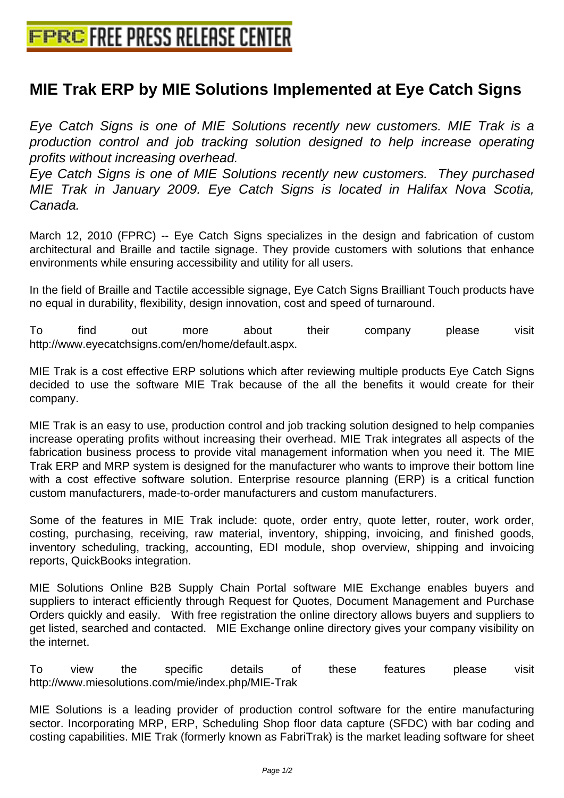## **[MIE Trak ERP by MIE Solutions Imp](http://www.free-press-release-center.info)lemented at Eye Catch Signs**

Eye Catch Signs is one of MIE Solutions recently new customers. MIE Trak is a production control and job tracking solution designed to help increase operating profits without increasing overhead.

Eye Catch Signs is one of MIE Solutions recently new customers. They purchased MIE Trak in January 2009. Eye Catch Signs is located in Halifax Nova Scotia, Canada.

March 12, 2010 (FPRC) -- Eye Catch Signs specializes in the design and fabrication of custom architectural and Braille and tactile signage. They provide customers with solutions that enhance environments while ensuring accessibility and utility for all users.

In the field of Braille and Tactile accessible signage, Eye Catch Signs Brailliant Touch products have no equal in durability, flexibility, design innovation, cost and speed of turnaround.

To find out more about their company please visit http://www.eyecatchsigns.com/en/home/default.aspx.

MIE Trak is a cost effective ERP solutions which after reviewing multiple products Eye Catch Signs decided to use the software MIE Trak because of the all the benefits it would create for their company.

MIE Trak is an easy to use, production control and job tracking solution designed to help companies increase operating profits without increasing their overhead. MIE Trak integrates all aspects of the fabrication business process to provide vital management information when you need it. The MIE Trak ERP and MRP system is designed for the manufacturer who wants to improve their bottom line with a cost effective software solution. Enterprise resource planning (ERP) is a critical function custom manufacturers, made-to-order manufacturers and custom manufacturers.

Some of the features in MIE Trak include: quote, order entry, quote letter, router, work order, costing, purchasing, receiving, raw material, inventory, shipping, invoicing, and finished goods, inventory scheduling, tracking, accounting, EDI module, shop overview, shipping and invoicing reports, QuickBooks integration.

MIE Solutions Online B2B Supply Chain Portal software MIE Exchange enables buyers and suppliers to interact efficiently through Request for Quotes, Document Management and Purchase Orders quickly and easily. With free registration the online directory allows buyers and suppliers to get listed, searched and contacted. MIE Exchange online directory gives your company visibility on the internet.

To view the specific details of these features please visit http://www.miesolutions.com/mie/index.php/MIE-Trak

MIE Solutions is a leading provider of production control software for the entire manufacturing sector. Incorporating MRP, ERP, Scheduling Shop floor data capture (SFDC) with bar coding and costing capabilities. MIE Trak (formerly known as FabriTrak) is the market leading software for sheet